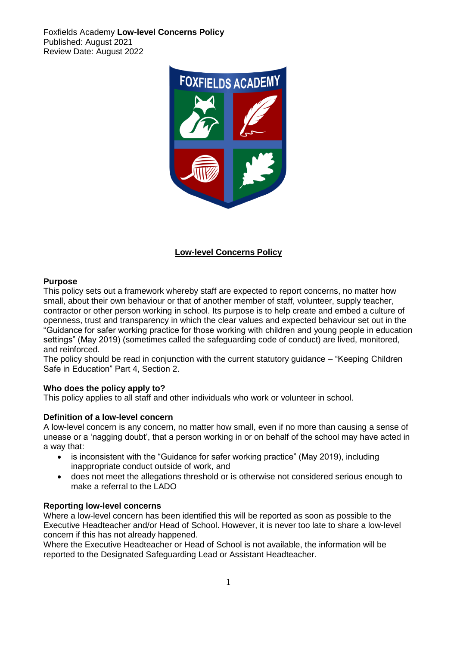Foxfields Academy **Low-level Concerns Policy**  Published: August 2021 Review Date: August 2022



# **Low-level Concerns Policy**

### **Purpose**

This policy sets out a framework whereby staff are expected to report concerns, no matter how small, about their own behaviour or that of another member of staff, volunteer, supply teacher, contractor or other person working in school. Its purpose is to help create and embed a culture of openness, trust and transparency in which the clear values and expected behaviour set out in the "Guidance for safer working practice for those working with children and young people in education settings" (May 2019) (sometimes called the safeguarding code of conduct) are lived, monitored, and reinforced.

The policy should be read in conjunction with the current statutory quidance – "Keeping Children" Safe in Education" Part 4, Section 2.

# **Who does the policy apply to?**

This policy applies to all staff and other individuals who work or volunteer in school.

#### **Definition of a low-level concern**

A low-level concern is any concern, no matter how small, even if no more than causing a sense of unease or a 'nagging doubt', that a person working in or on behalf of the school may have acted in a way that:

- is inconsistent with the "Guidance for safer working practice" (May 2019), including inappropriate conduct outside of work, and
- does not meet the allegations threshold or is otherwise not considered serious enough to make a referral to the LADO

#### **Reporting low-level concerns**

Where a low-level concern has been identified this will be reported as soon as possible to the Executive Headteacher and/or Head of School. However, it is never too late to share a low-level concern if this has not already happened.

Where the Executive Headteacher or Head of School is not available, the information will be reported to the Designated Safeguarding Lead or Assistant Headteacher.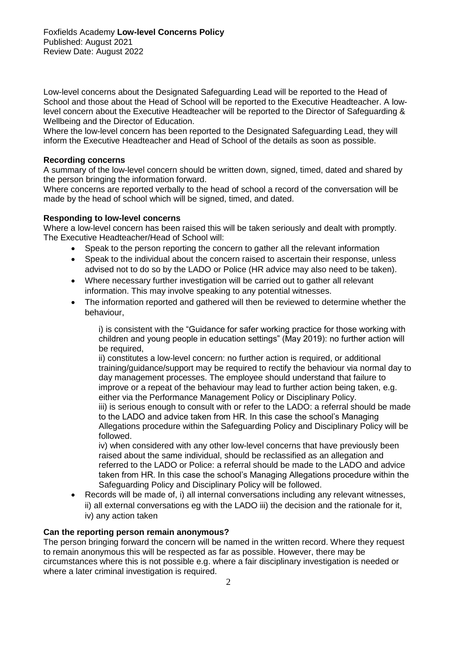Low-level concerns about the Designated Safeguarding Lead will be reported to the Head of School and those about the Head of School will be reported to the Executive Headteacher. A lowlevel concern about the Executive Headteacher will be reported to the Director of Safeguarding & Wellbeing and the Director of Education.

Where the low-level concern has been reported to the Designated Safeguarding Lead, they will inform the Executive Headteacher and Head of School of the details as soon as possible.

#### **Recording concerns**

A summary of the low-level concern should be written down, signed, timed, dated and shared by the person bringing the information forward.

Where concerns are reported verbally to the head of school a record of the conversation will be made by the head of school which will be signed, timed, and dated.

#### **Responding to low-level concerns**

Where a low-level concern has been raised this will be taken seriously and dealt with promptly. The Executive Headteacher/Head of School will:

- Speak to the person reporting the concern to gather all the relevant information
- Speak to the individual about the concern raised to ascertain their response, unless advised not to do so by the LADO or Police (HR advice may also need to be taken).
- Where necessary further investigation will be carried out to gather all relevant information. This may involve speaking to any potential witnesses.
- The information reported and gathered will then be reviewed to determine whether the behaviour,

i) is consistent with the "Guidance for safer working practice for those working with children and young people in education settings" (May 2019): no further action will be required,

ii) constitutes a low-level concern: no further action is required, or additional training/guidance/support may be required to rectify the behaviour via normal day to day management processes. The employee should understand that failure to improve or a repeat of the behaviour may lead to further action being taken, e.g. either via the Performance Management Policy or Disciplinary Policy.

iii) is serious enough to consult with or refer to the LADO: a referral should be made to the LADO and advice taken from HR. In this case the school's Managing Allegations procedure within the Safeguarding Policy and Disciplinary Policy will be followed.

iv) when considered with any other low-level concerns that have previously been raised about the same individual, should be reclassified as an allegation and referred to the LADO or Police: a referral should be made to the LADO and advice taken from HR. In this case the school's Managing Allegations procedure within the Safeguarding Policy and Disciplinary Policy will be followed.

• Records will be made of, i) all internal conversations including any relevant witnesses, ii) all external conversations eg with the LADO iii) the decision and the rationale for it, iv) any action taken

# **Can the reporting person remain anonymous?**

The person bringing forward the concern will be named in the written record. Where they request to remain anonymous this will be respected as far as possible. However, there may be circumstances where this is not possible e.g. where a fair disciplinary investigation is needed or where a later criminal investigation is required.